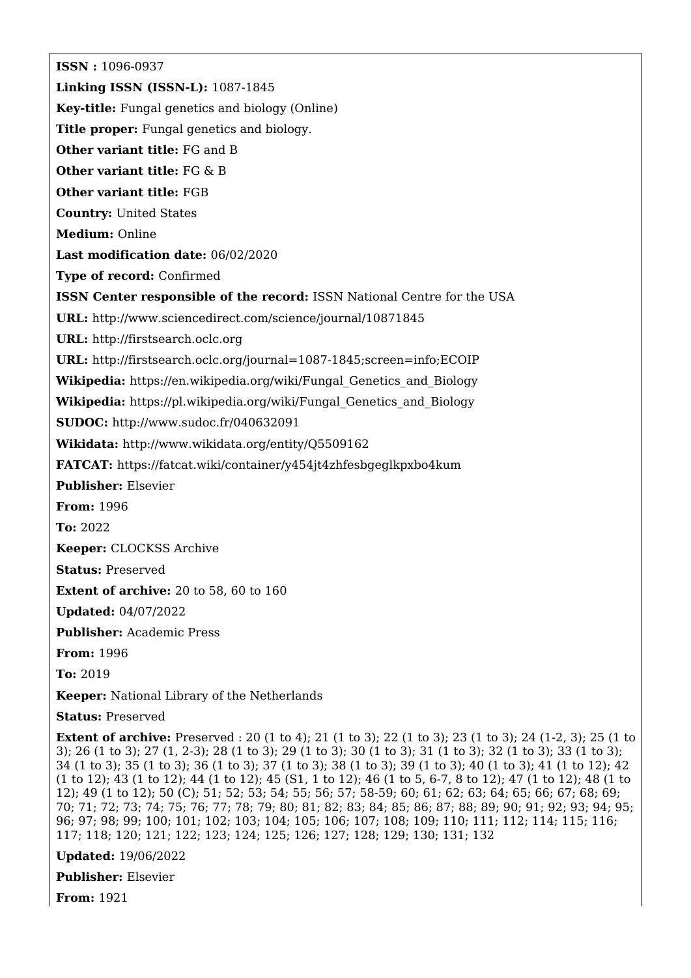**ISSN :** 1096-0937 **Linking ISSN (ISSN-L):** 1087-1845 **Key-title:** Fungal genetics and biology (Online) **Title proper:** Fungal genetics and biology. **Other variant title:** FG and B **Other variant title:** FG & B **Other variant title:** FGB **Country:** United States **Medium:** Online **Last modification date:** 06/02/2020 **Type of record:** Confirmed **ISSN Center responsible of the record:** ISSN National Centre for the USA **URL:** <http://www.sciencedirect.com/science/journal/10871845> **URL:** <http://firstsearch.oclc.org> **URL:** <http://firstsearch.oclc.org/journal=1087-1845;screen=info;ECOIP> **Wikipedia:** [https://en.wikipedia.org/wiki/Fungal\\_Genetics\\_and\\_Biology](https://en.wikipedia.org/wiki/Fungal_Genetics_and_Biology) **Wikipedia:** [https://pl.wikipedia.org/wiki/Fungal\\_Genetics\\_and\\_Biology](https://pl.wikipedia.org/wiki/Fungal_Genetics_and_Biology) **SUDOC:** <http://www.sudoc.fr/040632091> **Wikidata:** <http://www.wikidata.org/entity/Q5509162> **FATCAT:** <https://fatcat.wiki/container/y454jt4zhfesbgeglkpxbo4kum> **Publisher:** Elsevier **From:** 1996 **To:** 2022 **Keeper:** CLOCKSS Archive **Status:** Preserved **Extent of archive:** 20 to 58, 60 to 160 **Updated:** 04/07/2022 **Publisher:** Academic Press **From:** 1996 **To:** 2019 **Keeper:** National Library of the Netherlands **Status:** Preserved

**Extent of archive:** Preserved : 20 (1 to 4); 21 (1 to 3); 22 (1 to 3); 23 (1 to 3); 24 (1-2, 3); 25 (1 to 3); 26 (1 to 3); 27 (1, 2-3); 28 (1 to 3); 29 (1 to 3); 30 (1 to 3); 31 (1 to 3); 32 (1 to 3); 33 (1 to 3); 34 (1 to 3); 35 (1 to 3); 36 (1 to 3); 37 (1 to 3); 38 (1 to 3); 39 (1 to 3); 40 (1 to 3); 41 (1 to 12); 42 (1 to 12); 43 (1 to 12); 44 (1 to 12); 45 (S1, 1 to 12); 46 (1 to 5, 6-7, 8 to 12); 47 (1 to 12); 48 (1 to 12); 49 (1 to 12); 50 (C); 51; 52; 53; 54; 55; 56; 57; 58-59; 60; 61; 62; 63; 64; 65; 66; 67; 68; 69; 70; 71; 72; 73; 74; 75; 76; 77; 78; 79; 80; 81; 82; 83; 84; 85; 86; 87; 88; 89; 90; 91; 92; 93; 94; 95; 96; 97; 98; 99; 100; 101; 102; 103; 104; 105; 106; 107; 108; 109; 110; 111; 112; 114; 115; 116; 117; 118; 120; 121; 122; 123; 124; 125; 126; 127; 128; 129; 130; 131; 132

**Updated:** 19/06/2022

**Publisher:** Elsevier

**From:** 1921